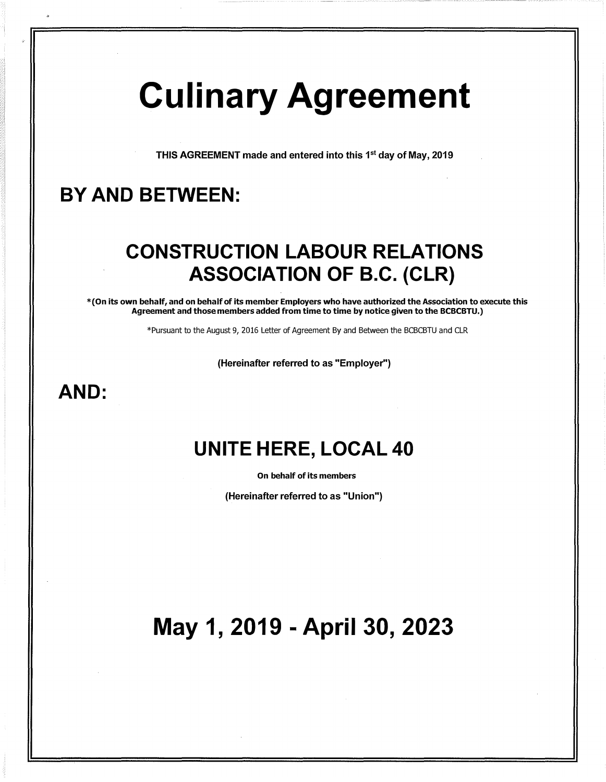# Culinary Agreement

THIS AGREEMENT made and entered into this 1<sup>st</sup> day of May, 2019

## BY AND BETWEEN:

## CONSTRUCTION LABOUR RELATIONS ASSOCIATION OF B.C. {CLR)

\*(On its own behalf, and on behalf of its member Employers who have authorized the Association to execute this Agreement and those members added from time to time by notice given to the BCBCBTU.)

\*Pursuant to the August 9, 2016 Letter of Agreement By and Between the BCBCBTU and CLR

(Hereinafter referred to as "Employer")

## AND:

## UNITE HERE, LOCAL 40

On behalf of its members

(Hereinafter referred to as "Union")

## May 1, 2019 - April 30, 2023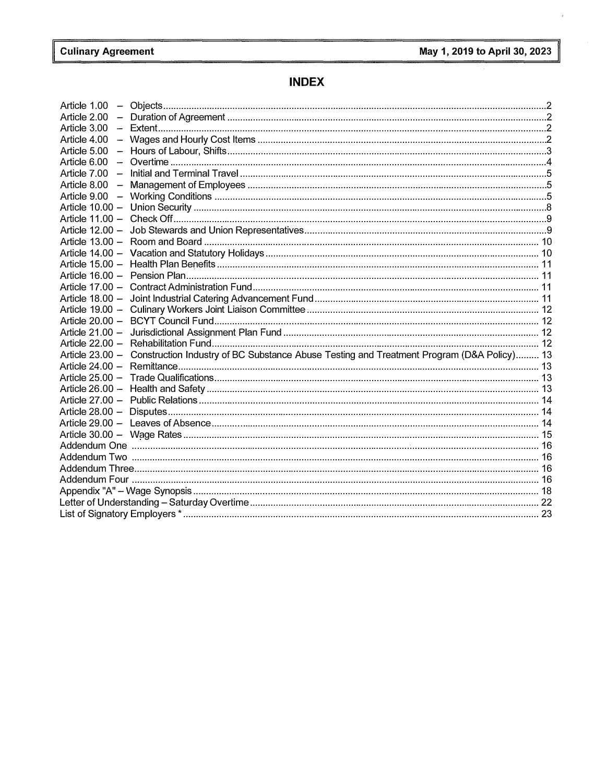$\hat{r}$ 

### **INDEX**

| Article 1.00                                                                                              |  |  |  |  |  |  |
|-----------------------------------------------------------------------------------------------------------|--|--|--|--|--|--|
| Article 2.00                                                                                              |  |  |  |  |  |  |
| Article 3.00                                                                                              |  |  |  |  |  |  |
| Article 4.00                                                                                              |  |  |  |  |  |  |
| Article 5.00                                                                                              |  |  |  |  |  |  |
| Article 6.00                                                                                              |  |  |  |  |  |  |
| Article 7.00                                                                                              |  |  |  |  |  |  |
| Article 8.00                                                                                              |  |  |  |  |  |  |
| Article 9.00                                                                                              |  |  |  |  |  |  |
|                                                                                                           |  |  |  |  |  |  |
|                                                                                                           |  |  |  |  |  |  |
|                                                                                                           |  |  |  |  |  |  |
|                                                                                                           |  |  |  |  |  |  |
|                                                                                                           |  |  |  |  |  |  |
|                                                                                                           |  |  |  |  |  |  |
|                                                                                                           |  |  |  |  |  |  |
|                                                                                                           |  |  |  |  |  |  |
|                                                                                                           |  |  |  |  |  |  |
|                                                                                                           |  |  |  |  |  |  |
|                                                                                                           |  |  |  |  |  |  |
|                                                                                                           |  |  |  |  |  |  |
|                                                                                                           |  |  |  |  |  |  |
| Article 23.00 - Construction Industry of BC Substance Abuse Testing and Treatment Program (D&A Policy) 13 |  |  |  |  |  |  |
|                                                                                                           |  |  |  |  |  |  |
|                                                                                                           |  |  |  |  |  |  |
|                                                                                                           |  |  |  |  |  |  |
|                                                                                                           |  |  |  |  |  |  |
|                                                                                                           |  |  |  |  |  |  |
|                                                                                                           |  |  |  |  |  |  |
|                                                                                                           |  |  |  |  |  |  |
|                                                                                                           |  |  |  |  |  |  |
|                                                                                                           |  |  |  |  |  |  |
|                                                                                                           |  |  |  |  |  |  |
|                                                                                                           |  |  |  |  |  |  |
|                                                                                                           |  |  |  |  |  |  |
|                                                                                                           |  |  |  |  |  |  |
|                                                                                                           |  |  |  |  |  |  |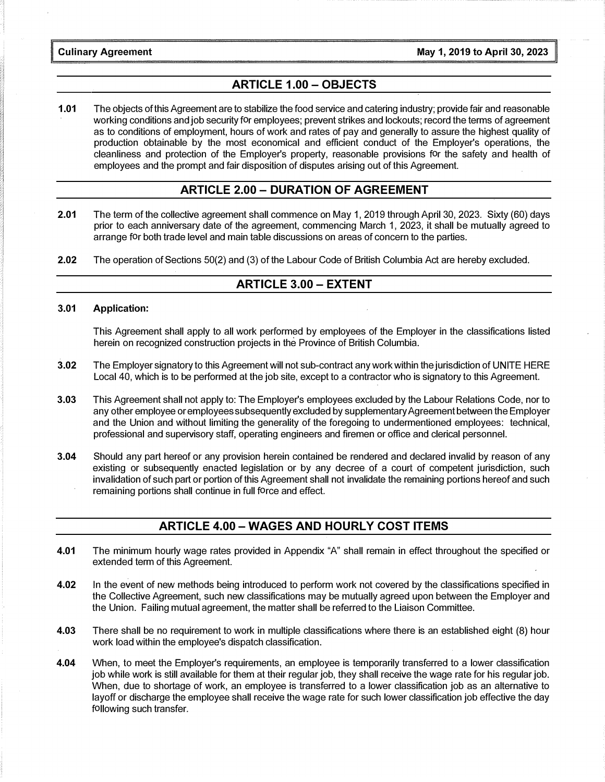#### ARTICLE 1.00 - OBJECTS

1.01 The objects of this Agreement are to stabilize the food service and catering industry; provide fair and reasonable working conditions and job security for employees; prevent strikes and lockouts; record the terms of agreement as to conditions of employment, hours of work and rates of pay and generally to assure the highest quality of production obtainable by the most economical and efficient conduct of the Employer's operations, the cleanliness and protection of the Employer's property, reasonable provisions for the safety and health of employees and the prompt and fair disposition of disputes arising out of this Agreement.

#### ARTICLE 2.00 - DURATION OF AGREEMENT

- 2.01 The term of the collective agreement shall commence on May 1, 2019 through April 30, 2023. Sixty (60) days prior to each anniversary date of the agreement, commencing March 1, 2023, it shall be mutually agreed to arrange for both trade level and main table discussions on areas of concern to the parties.
- 2.02 The operation of Sections 50(2) and (3) of the Labour Code of British Columbia Act are hereby excluded.

#### ARTICLE 3.00 - EXTENT

3.01 Application:

This Agreement shall apply to all work performed by employees of the Employer in the classifications listed herein on recognized construction projects in the Province of British Columbia.

- 3.02 The Employer signatory to this Agreement will not sub-contract any work within the jurisdiction of UNITE HERE Local 40, which is to be performed at the job site, except to a contractor who is signatory to this Agreement.
- 3.03 This Agreement shall not apply to: The Employer's employees excluded by the Labour Relations Code, nor to any other employee or employees subsequently excluded by supplementary Agreement between the Employer and the Union and without limiting the generality of the foregoing to undermentioned employees: technical, professional and supervisory staff, operating engineers and firemen or office and clerical personnel.
- 3.04 Should any part hereof or any provision herein contained be rendered and declared invalid by reason of any existing or subsequently enacted legislation or by any decree of a court of competent jurisdiction, such invalidation of such part or portion of this Agreement shall not invalidate the remaining portions hereof and such remaining portions shall continue in full force and effect.

#### ARTICLE 4.00 - WAGES AND HOURLY COST ITEMS

- 4.01 The minimum hourly wage rates provided in Appendix "A" shall remain in effect throughout the specified or extended term of this Agreement.
- 4.02 In the event of new methods being introduced to perform work not covered by the classifications specified in the Collective Agreement, such new classifications may be mutually agreed upon between the Employer and the Union. Failing mutual agreement, the matter shall be referred to the Liaison Committee.
- 4.03 There shall be no requirement to work in multiple classifications where there is an established eight (8) hour work load within the employee's dispatch classification.
- 4.04 When, to meet the Employer's requirements, an employee is temporarily transferred to a lower classification job while work is still available for them at their regular job, they shall receive the wage rate for his regular job. When, due to shortage of work, an employee is transferred to a lower classification job as an alternative to layoff or discharge the employee shall receive the wage rate for such lower classification job effective the day following such transfer.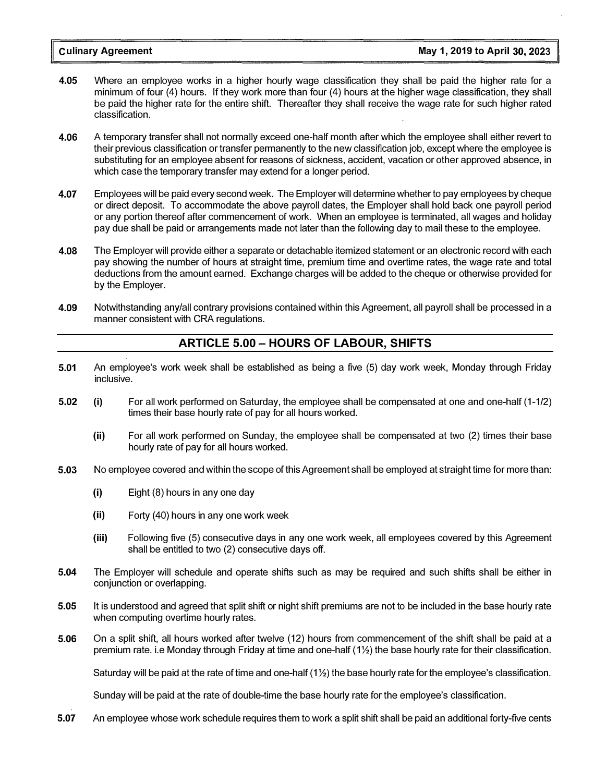- 4.05 Where an employee works in a higher hourly wage classification they shall be paid the higher rate for a minimum of four (4) hours. If they work more than four (4) hours at the higher wage classification, they shall be paid the higher rate for the entire shift. Thereafter they shall receive the wage rate for such higher rated classification.
- 4.06 A temporary transfer shall not normally exceed one-half month after which the employee shall either revert to their previous classification or transfer permanently to the new classification job, except where the employee is substituting for an employee absent for reasons of sickness, accident, vacation or other approved absence, in which case the temporary transfer may extend for a longer period.
- 4.07 Employees will be paid every second week. The Employer will determine whether to pay employees by cheque or direct deposit. To accommodate the above payroll dates, the Employer shall hold back one payroll period or any portion thereof after commencement of work. When an employee is terminated, all wages and holiday pay due shall be paid or arrangements made not later than the following day to mail these to the employee.
- 4.08 The Employer will provide either a separate or detachable itemized statement or an electronic record with each pay showing the number of hours at straight time, premium time and overtime rates, the wage rate and total deductions from the amount earned. Exchange charges will be added to the cheque or otherwise provided for by the Employer.
- 4.09 Notwithstanding any/all contrary provisions contained within this Agreement, all payroll shall be processed in a manner consistent with CRA regulations.

#### ARTICLE 5.00 - HOURS OF LABOUR, SHIFTS

- 5.01 An employee's work week shall be established as being a five (5) day work week, Monday through Friday inclusive.
- 5.02 (i) For all work performed on Saturday, the employee shall be compensated at one and one-half (1-1/2) times their base hourly rate of pay for all hours worked.
	- (ii) For all work performed on Sunday, the employee shall be compensated at two (2) times their base hourly rate of pay for all hours worked.
- 5.03 No employee covered and within the scope of this Agreement shall be employed at straight time for more than:
	- (i) Eight (8) hours in any one day
	- (ii) Forty (40) hours in any one work week
	- (iii) Following five (5) consecutive days in any one work week, all employees covered by this Agreement shall be entitled to two (2) consecutive days off.
- 5.04 The Employer will schedule and operate shifts such as may be required and such shifts shall be either in conjunction or overlapping.
- 5.05 It is understood and agreed that split shift or night shift premiums are not to be included in the base hourly rate when computing overtime hourly rates.
- 5.06 On a split shift, all hours worked after twelve (12) hours from commencement of the shift shall be paid at a premium rate. i.e Monday through Friday at time and one-half (11/2) the base hourly rate for their classification.

Saturday will be paid at the rate of time and one-half  $(1\frac{1}{2})$  the base hourly rate for the employee's classification.

Sunday will be paid at the rate of double-time the base hourly rate for the employee's classification.

5.07 An employee whose work schedule requires them to work a split shift shall be paid an additional forty-five cents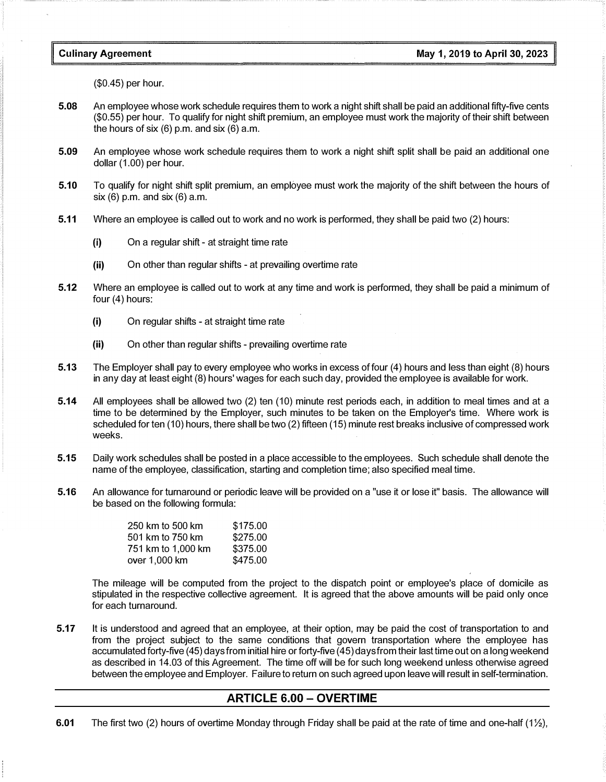#### Culinary Agreement

(\$0.45) per hour.

- 5.08 An employee whose work schedule requires them to work a night shift shall be paid an additional fifty-five cents (\$0.55) per hour. To qualify for night shift premium, an employee must work the majority of their shift between the hours of six  $(6)$  p.m. and six  $(6)$  a.m.
- 5.09 An employee whose work schedule requires them to work a night shift split shall be paid an additional one dollar (1.00) per hour.
- 5.10 To qualify for night shift split premium, an employee must work the majority of the shift between the hours of six (6) p.m. and six (6) a.m.
- 5.11 Where an employee is called out to work and no work is performed, they shall be paid two (2) hours:
	- (i) On a regular shift at straight time rate
	- (ii) On other than regular shifts at prevailing overtime rate
- 5.12 Where an employee is called out to work at any time and work is performed, they shall be paid a minimum of four (4) hours:
	- (i) On regular shifts at straight time rate
	- (ii) On other than regular shifts prevailing overtime rate
- 5.13 The Employer shall pay to every employee who works in excess of four (4) hours and less than eight (8) hours in any day at least eight (8) hours' wages for each such day, provided the employee is available for work.
- 5.14 All employees shall be allowed two (2) ten (10) minute rest periods each, in addition to meal times and at a time to be determined by the Employer, such minutes to be taken on the Employer's time. Where work is scheduled for ten ( 10) hours, there shall be two (2) fifteen (15) minute rest breaks inclusive of compressed work weeks.
- 5.15 Daily work schedules shall be posted in a place accessible to the employees. Such schedule shall denote the name of the employee, classification, starting and completion time; also specified meal time.
- 5.16 An allowance for turnaround or periodic leave will be provided on a "use it or lose it" basis. The allowance will be based on the following formula:

| 250 km to 500 km   | \$175.00 |
|--------------------|----------|
| 501 km to 750 km   | \$275.00 |
| 751 km to 1,000 km | \$375.00 |
| over 1,000 km      | \$475.00 |

The mileage will be computed from the project to the dispatch point or employee's place of domicile as stipulated in the respective collective agreement. It is agreed that the above amounts will be paid only once for each turnaround.

5.17 It is understood and agreed that an employee, at their option, may be paid the cost of transportation to and from the project subject to the same conditions that govern transportation where the employee has accumulated forty-five (45) days from initial hire or forty-five (45) days from their last time out on a long weekend as described in 14.03 of this Agreement. The time off will be for such long weekend unless otherwise agreed between the employee and Employer. Failure to return on such agreed upon leave will result in self-termination.

#### ARTICLE 6.00 - OVERTIME

6.01 The first two (2) hours of overtime Monday through Friday shall be paid at the rate of time and one-half (1 $\frac{1}{2}$ ),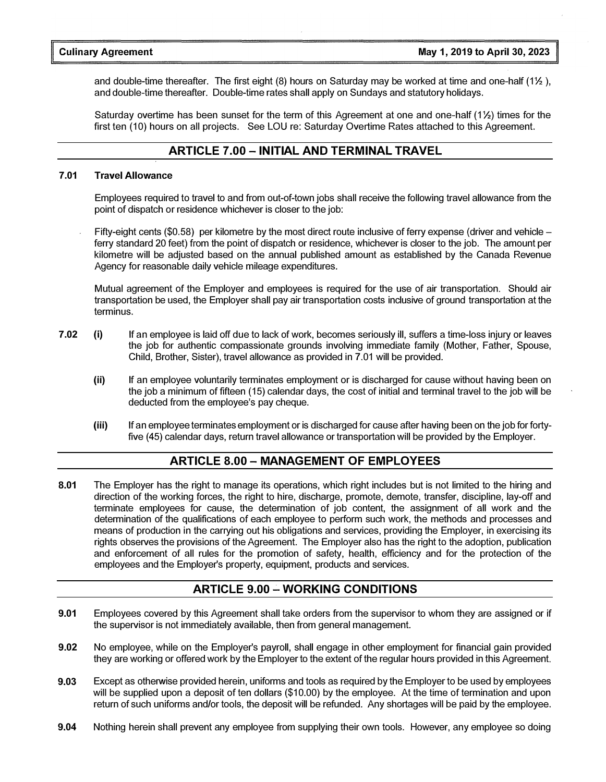and double-time thereafter. The first eight (8) hours on Saturday may be worked at time and one-half (1% ), and double-time thereafter. Double-time rates shall apply on Sundays and statutory holidays.

Saturday overtime has been sunset for the term of this Agreement at one and one-half (1<sup>1</sup>/<sub>2</sub>) times for the first ten (10) hours on all projects. See LOU re: Saturday Overtime Rates attached to this Agreement.

#### ARTICLE 7.00 - INITIAL AND TERMINAL TRAVEL

#### 7.01 Travel Allowance

Employees required to travel to and from out-of-town jobs shall receive the following travel allowance from the point of dispatch or residence whichever is closer to the job:

Fifty-eight cents (\$0.58) per kilometre by the most direct route inclusive of ferry expense (driver and vehicle – ferry standard 20 feet) from the point of dispatch or residence, whichever is closer to the job. The amount per kilometre will be adjusted based on the annual published amount as established by the Canada Revenue Agency for reasonable daily vehicle mileage expenditures.

Mutual agreement of the Employer and employees is required for the use of air transportation. Should air transportation be used, the Employer shall pay air transportation costs inclusive of ground transportation at the terminus.

- 7.02 (i) If an employee is laid off due to lack of work, becomes seriously ill, suffers a time-loss injury or leaves the job for authentic compassionate grounds involving immediate family (Mother, Father, Spouse, Child, Brother, Sister), travel allowance as provided in 7.01 will be provided.
	- (ii) If an employee voluntarily terminates employment or is discharged for cause without having been on the job a minimum of fifteen ( 15) calendar days, the cost of initial and terminal travel to the job will be deducted from the employee's pay cheque.
	- (iii) If an employee terminates employment or is discharged for cause after having been on the job for fortyfive (45) calendar days, return travel allowance or transportation will be provided by the Employer.

#### ARTICLE 8.00 - MANAGEMENT OF EMPLOYEES

8.01 The Employer has the right to manage its operations, which right includes but is not limited to the hiring and direction of the working forces, the right to hire, discharge, promote, demote, transfer, discipline, lay-off and terminate employees for cause, the determination of job content, the assignment of all work and the determination of the qualifications of each employee to perform such work, the methods and processes and means of production in the carrying out his obligations and services, providing the Employer, in exercising its rights observes the provisions of the Agreement. The Employer also has the right to the adoption, publication and enforcement of all rules for the promotion of safety, health, efficiency and for the protection of the employees and the Employer's property, equipment, products and services.

#### **ARTICLE 9.00 - WORKING CONDITIONS**

- 9.01 Employees covered by this Agreement shall take orders from the supervisor to whom they are assigned or if the supervisor is not immediately available, then from general management.
- 9.02 No employee, while on the Employer's payroll, shall engage in other employment for financial gain provided they are working or offered work by the Employer to the extent of the regular hours provided in this Agreement.
- 9.03 Except as otherwise provided herein, uniforms and tools as required by the Employer to be used by employees will be supplied upon a deposit of ten dollars (\$10.00) by the employee. At the time of termination and upon return of such uniforms and/or tools, the deposit will be refunded. Any shortages will be paid by the employee.
- 9.04 Nothing herein shall prevent any employee from supplying their own tools. However, any employee so doing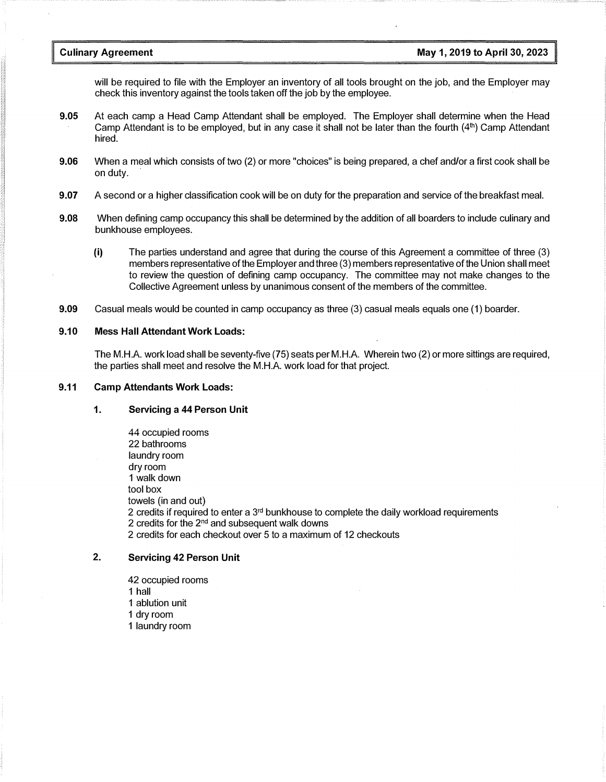will be required to file with the Employer an inventory of all tools brought on the job, and the Employer may check this inventory against the tools taken off the job by the employee.

- 9.05 At each camp a Head Camp Attendant shall be employed. The Employer shall determine when the Head Camp Attendant is to be employed, but in any case it shall not be later than the fourth  $(4<sup>th</sup>)$  Camp Attendant hired.
- 9.06 When a meal which consists of two (2) or more "choices" is being prepared, a chef and/or a first cook shall be on duty.
- 9.07 A second or a higher classification cook will be on duty for the preparation and service of the breakfast meal.
- 9.08 When defining camp occupancy this shall be determined by the addition of all boarders to include culinary and bunkhouse employees.
	- {i) The parties understand and agree that during the course of this Agreement a committee of three (3) members representative of the Employer and three (3) members representative of the Union shall meet to review the question of defining camp occupancy. The committee may not make changes to the Collective Agreement unless by unanimous consent of the members of the committee.
- 9.09 Casual meals would be counted in camp occupancy as three (3) casual meals equals one (1) boarder.

#### 9.10 Mess Hall Attendant Work Loads:

The M.H.A. work load shall be seventy-five (75) seats per M.H.A. Wherein two (2) or more sittings are required, the parties shall meet and resolve the M.H.A. work load for that project.

#### 9.11 Camp Attendants Work Loads:

#### 1. Servicing a 44 Person Unit

44 occupied rooms 22 bathrooms laundry room dry room 1 walk down tool box towels (in and out) 2 credits if required to enter a  $3<sup>rd</sup>$  bunkhouse to complete the daily workload requirements 2 credits for the  $2<sup>nd</sup>$  and subsequent walk downs 2 credits for each checkout over 5 to a maximum of 12 checkouts

#### 2. Servicing 42 Person Unit

- 42 occupied rooms
- 1 hall
- 1 ablution unit
- 1 dry room
- 1 laundry room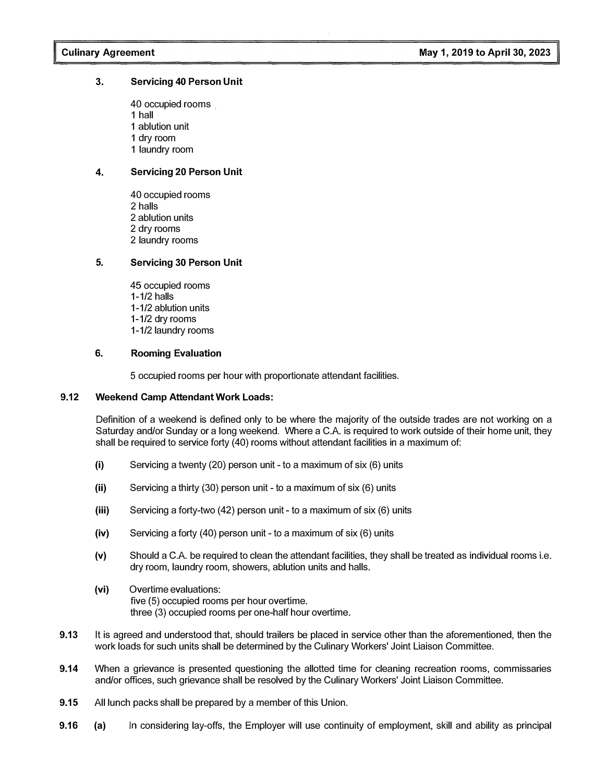#### 3. Servicing 40 Person Unit

40 occupied rooms . 1 hall 1 ablution unit 1 dry room 1 laundry room

#### 4. Servicing 20 Person Unit

40 occupied rooms 2 halls 2 ablution units 2 dry rooms 2 laundry rooms

#### 5. Servicing 30 Person Unit

45 occupied rooms 1-1/2 halls 1-1/2 ablution units 1-1/2 dry rooms 1-1/2 laundry rooms

#### 6. Rooming Evaluation

5 occupied rooms per hour with proportionate attendant facilities.

#### 9.12 Weekend Camp Attendant Work Loads:

Definition of a weekend is defined only to be where the majority of the outside trades are not working on a Saturday and/or Sunday or a long weekend. Where a C.A. is required to work outside of their home unit, they shall be required to service forty (40) rooms without attendant facilities in a maximum of:

- (i) Servicing a twenty (20) person unit to a maximum of six (6) units
- (ii) Servicing a thirty (30) person unit to a maximum of six (6) units
- (iii) Servicing a forty-two (42) person unit to a maximum of six (6) units
- (iv) Servicing a forty (40) person unit to a maximum of six (6) units
- (v) Should a C.A. be required to clean the attendant facilities, they shall be treated as individual rooms i.e. dry room, laundry room, showers, ablution units and halls.
- (vi) Overtime evaluations: five (5) occupied rooms per hour overtime. three (3) occupied rooms per one-half hour overtime.
- 9.13 It is agreed and understood that, should trailers be placed in service other than the aforementioned, then the work loads for such units shall be determined by the Culinary Workers' Joint Liaison Committee.
- 9.14 When a grievance is presented questioning the allotted time for cleaning recreation rooms, commissaries and/or offices, such grievance shall be resolved by the Culinary Workers' Joint Liaison Committee.
- 9.15 All lunch packs shall be prepared by a member of this Union.
- 9.16 (a) In considering lay-offs, the Employer will use continuity of employment, skill and ability as principal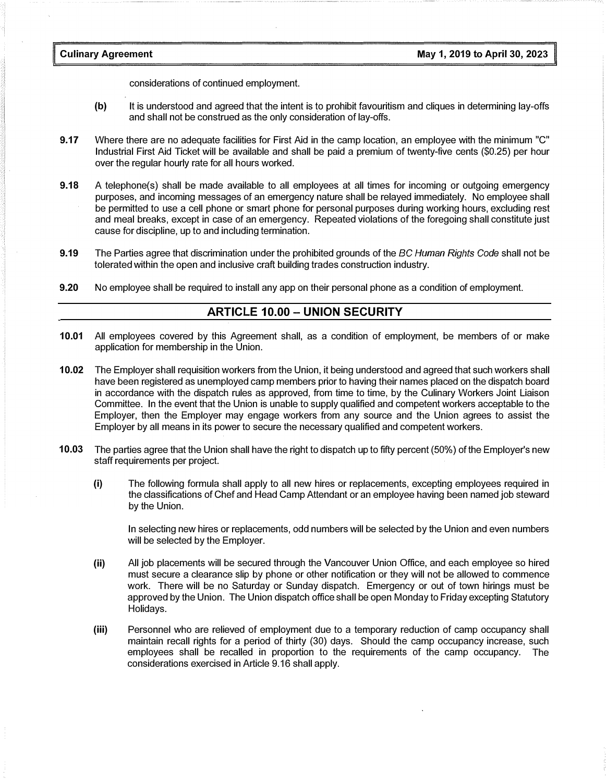considerations of continued employment.

- (b) It is understood and agreed that the intent is to prohibit favouritism and cliques in determining lay-offs and shall not be construed as the only consideration of lay-offs.
- 9.17 Where there are no adequate facilities for First Aid in the camp location, an employee with the minimum "C" Industrial First Aid Ticket will be available and shall be paid a premium of twenty-five cents (\$0.25) per hour over the regular hourly rate for all hours worked.
- 9.18 A telephone(s) shall be made available to all employees at all times for incoming or outgoing emergency purposes, and incoming messages of an emergency nature shall be relayed immediately. No employee shall be permitted to use a cell phone or smart phone for personal purposes during working hours, excluding rest and meal breaks, except in case of an emergency. Repeated violations of the foregoing shall constitute just cause for discipline, up to and including termination.
- 9.19 The Parties agree that discrimination under the prohibited grounds of the BC Human Rights Code shall not be tolerated within the open and inclusive craft building trades construction industry.
- 9.20 No employee shall be required to install any app on their personal phone as a condition of employment.

#### ARTICLE 10.00 - UNION SECURITY

- 10.01 All employees covered by this Agreement shall, as a condition of employment, be members of or make application for membership in the Union.
- 10.02 The Employer shall requisition workers from the Union, it being understood and agreed that such workers shall have been registered as unemployed camp members prior to having their names placed on the dispatch board in accordance with the dispatch rules as approved, from time to time, by the Culinary Workers Joint Liaison Committee. In the event that the Union is unable to supply qualified and competent workers acceptable to the Employer, then the Employer may engage workers from any source and the Union agrees to assist the Employer by all means in its power to secure the necessary qualified and competent workers.
- 10.03 The parties agree that the Union shall have the right to dispatch up to fifty percent (50%) of the Employer's new staff requirements per project.
	- (i) The following formula shall apply to all new hires or replacements, excepting employees required in the classifications of Chef and Head Camp Attendant or an employee having been named job steward by the Union.

In selecting new hires or replacements, odd numbers will be selected by the Union and even numbers will be selected by the Employer.

- (ii) All job placements will be secured through the Vancouver Union Office, and each employee so hired must secure a clearance slip by phone or other notification or they will not be allowed to commence work. There will be no Saturday or Sunday dispatch. Emergency or out of town hirings must be approved by the Union. The Union dispatch office shall be open Monday to Friday excepting Statutory Holidays.
- (iii) Personnel who are relieved of employment due to a temporary reduction of camp occupancy shall maintain recall rights for a period of thirty (30) days. Should the camp occupancy increase, such employees shall be recalled in proportion to the requirements of the camp occupancy. The considerations exercised in Article 9.16 shall apply.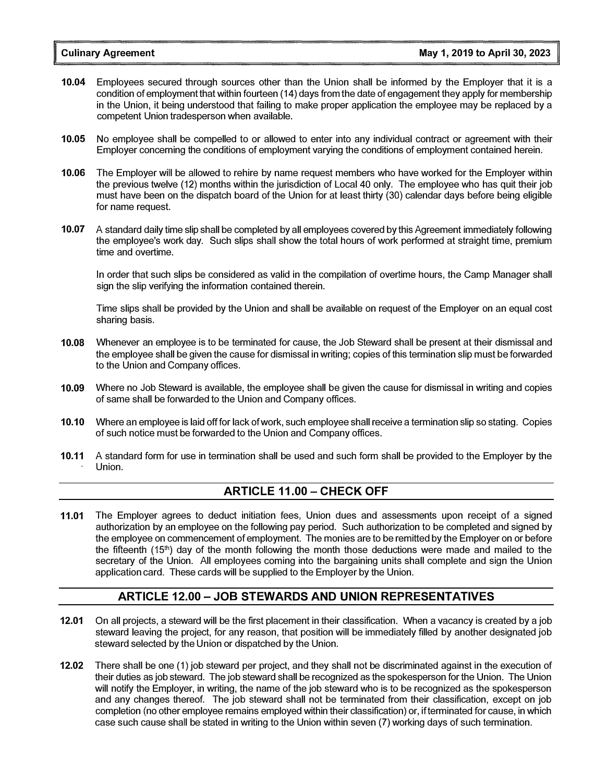- 10.04 Employees secured through sources other than the Union shall be informed by the Employer that it is a condition of employment that within fourteen (14) days from the date of engagement they apply for membership in the Union, it being understood that failing to make proper application the employee may be replaced by a competent Union tradesperson when available.
- 10.05 No employee shall be compelled to or allowed to enter into any individual contract or agreement with their Employer concerning the conditions of employment varying the conditions of employment contained herein.
- 10.06 The Employer will be allowed to rehire by name request members who have worked for the Employer within the previous twelve (12) months within the jurisdiction of Local 40 only. The employee who has quit their job must have been on the dispatch board of the Union for at least thirty (30) calendar days before being eligible for name request.
- 10.07 A standard daily time slip shall be completed by all employees covered by this Agreement immediately following the employee's work day. Such slips shall show the total hours of work performed at straight time, premium time and overtime.

In order that such slips be considered as valid in the compilation of overtime hours, the Camp Manager shall sign the slip verifying the information contained therein.

Time slips shall be provided by the Union and shall be available on request of the Employer on an equal cost sharing basis.

- 10.08 Whenever an employee is to be terminated for cause, the Job Steward shall be present at their dismissal and the employee shall be given the cause for dismissal in writing; copies of this termination slip must be forwarded to the Union and Company offices.
- 10.09 Where no Job Steward is available, the employee shall be given the cause for dismissal in writing and copies of same shall be forwarded to the Union and Company offices.
- 10.10 Where an employee is laid off for lack of work, such employee shall receive a termination slip so stating. Copies of such notice must be forwarded to the Union and Company offices.
- 10.11 A standard form for use in termination shall be used and such form shall be provided to the Employer by the Union.

#### ARTICLE 11.00 - CHECK OFF

11.01 The Employer agrees to deduct initiation fees, Union dues and assessments upon receipt of a signed authorization by an employee on the following pay period. Such authorization to be completed and signed by the employee on commencement of employment. The monies are to be remitted by the Employer on or before the fifteenth (151h) day of the month following the month those deductions were made and mailed to the secretary of the Union. All employees coming into the bargaining units shall complete and sign the Union application card. These cards will be supplied to the Employer by the Union.

#### ARTICLE 12.00 - JOB STEWARDS AND UNION REPRESENTATIVES

- 12.01 On all projects, a steward will be the first placement in their classification. When a vacancy is created by a job steward leaving the project, for any reason, that position will be immediately filled by another designated job steward selected by the Union or dispatched by the Union.
- 12.02 There shall be one (1) job steward per project, and they shall not be discriminated against in the execution of their duties as job steward. The job steward shall be recognized as the spokesperson for the Union. The Union will notify the Employer, in writing, the name of the job steward who is to be recognized as the spokesperson and any changes thereof. The job steward shall not be terminated from their classification, except on job completion (no other employee remains employed within their classification) or, if terminated for cause, in which case such cause shall be stated in writing to the Union within seven (7) working days of such termination.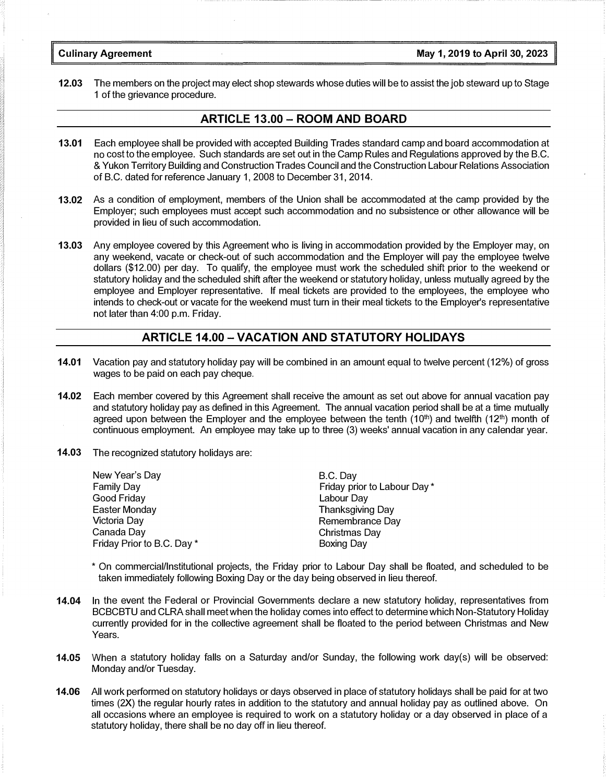#### Culinary Agreement May 1, 2019 to April 30, 2023

12.03 The members on the project may elect shop stewards whose duties will be to assist the job steward up to Stage 1 of the grievance procedure.

#### ARTICLE 13.00 - ROOM AND BOARD

- 13.01 Each employee shall be provided with accepted Building Trades standard camp and board accommodation at no cost to the employee. Such standards are set out in the Camp Rules and Regulations approved by the B.C. & Yukon Territory Building and Construction Trades Council and the Construction Labour Relations Association of B.C. dated for reference January 1, 2008 to December 31, 2014.
- 13.02 As a condition of employment, members of the Union shall be accommodated at the camp provided by the Employer; such employees must accept such accommodation and no subsistence or other allowance will be provided in lieu of such accommodation.
- 13.03 Any employee covered by this Agreement who is living in accommodation provided by the Employer may, on any weekend, vacate or check-out of such accommodation and the Employer will pay the employee twelve dollars (\$12.00) per day. To qualify, the employee must work the scheduled shift prior to the weekend or statutory holiday and the scheduled shift after the weekend or statutory holiday, unless mutually agreed by the employee and Employer representative. If meal tickets are provided to the employees, the employee who intends to check-out or vacate for the weekend must turn in their meal tickets to the Employer's representative not later than 4:00 p.m. Friday.

#### ARTICLE 14.00-VACATION AND STATUTORY HOLIDAYS

- 14.01 Vacation pay and statutory holiday pay will be combined in an amount equal to twelve percent (12%) of gross wages to be paid on each pay cheque.
- 14.02 Each member covered by this Agreement shall receive the amount as set out above for annual vacation pay and statutory holiday pay as defined in this Agreement. The annual vacation period shall be at a time mutually agreed upon between the Employer and the employee between the tenth  $(10<sup>th</sup>)$  and twelfth  $(12<sup>th</sup>)$  month of continuous employment. An employee may take up to three (3) weeks' annual vacation in any calendar year.
- 14.03 The recognized statutory holidays are:

| B.C. Day                    |
|-----------------------------|
| Friday prior to Labour Day* |
| Labour Day                  |
| <b>Thanksgiving Day</b>     |
| Remembrance Day             |
| Christmas Day               |
| <b>Boxing Day</b>           |
|                             |

- \* On commercial/Institutional projects, the Friday prior to Labour Day shall be floated, and scheduled to be taken immediately following Boxing Day or the day being observed in lieu thereof.
- 14.04 In the event the Federal or Provincial Governments declare a new statutory holiday, representatives from BCBCBTU and CLRA shall meet when the holiday comes into effect to determine which Non-Statutory Holiday currently provided for in the collective agreement shall be floated to the period between Christmas and New Years.
- 14.05 When a statutory holiday falls on a Saturday and/or Sunday, the following work day(s) will be observed: Monday and/or Tuesday.
- 14.06 All work performed on statutory holidays or days observed in place of statutory holidays shall be paid for at two times (2X) the regular hourly rates in addition to the statutory and annual holiday pay as outlined above. On all occasions where an employee is required to work on a statutory holiday or a day observed in place of a statutory holiday, there shall be no day off in lieu thereof.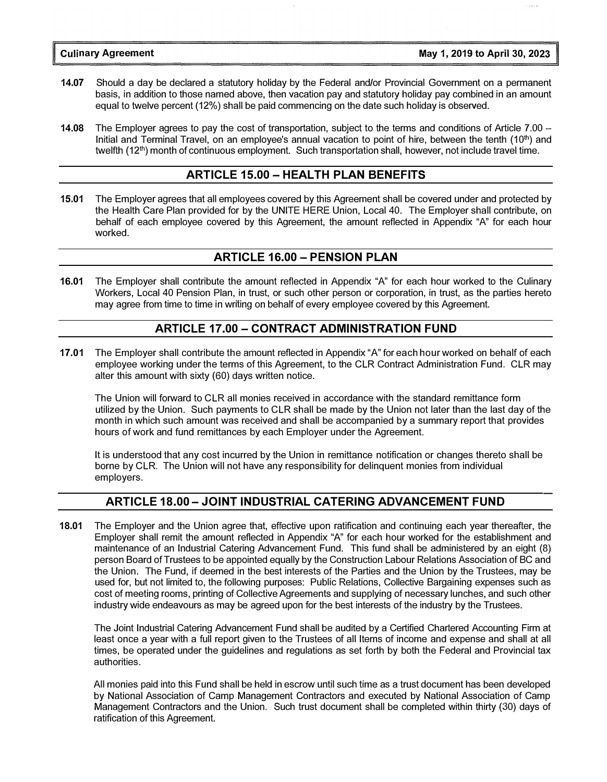- 14.07 Should a day be declared a statutory holiday by the Federal and/or Provincial Government on a permanent basis, in addition to those named above, then vacation pay and statutory holiday pay combined in an amount equal to twelve percent (12%) shall be paid commencing on the date such holiday is observed.
- 14.08 The Employer agrees to pay the cost of transportation, subject to the terms and conditions of Article 7.00 -Initial and Terminal Travel, on an employee's annual vacation to point of hire, between the tenth (10<sup>th</sup>) and twelfth  $(12<sup>th</sup>)$  month of continuous employment. Such transportation shall, however, not include travel time.

#### ARTICLE 15.00 - HEALTH PLAN BENEFITS

15.01 The Employer agrees that all employees covered by this Agreement shall be covered under and protected by the Health Care Plan provided for by the UNITE HERE Union, Local 40. The Employer shall contribute, on behalf of each employee covered by this Agreement, the amount reflected in Appendix "A" for each hour worked.

#### ARTICLE 16.00 - PENSION PLAN

16.01 The Employer shall contribute the amount reflected in Appendix "A" for each hour worked to the Culinary Workers, Local 40 Pension Plan, in trust, or such other person or corporation, in trust, as the parties hereto may agree from time to time in writing on behalf of every employee covered by this Agreement.

#### ARTICLE 17.00-CONTRACT ADMINISTRATION FUND

17.01 The Employer shall contribute the amount reflected in Appendix "A" for each hour worked on behalf of each employee working under the terms of this Agreement, to the CLR Contract Administration Fund. CLR may alter this amount with sixty (60) days written notice.

The Union will forward to CLR all monies received in accordance with the standard remittance form utilized by the Union. Such payments to CLR shall be made by the Union not later than the last day of the month in which such amount was received and shall be accompanied by a summary report that provides hours of work and fund remittances by each Employer under the Agreement.

It is understood that any cost incurred by the Union in remittance notification or changes thereto shall be borne by CLR. The Union will not have any responsibility for delinquent monies from individual employers.

#### ARTICLE 18.00 -JOINT INDUSTRIAL CATERING ADVANCEMENT FUND

18.01 The Employer and the Union agree that, effective upon ratification and continuing each year thereafter, the Employer shall remit the amount reflected in Appendix "A" for each hour worked for the establishment and maintenance of an Industrial Catering Advancement Fund. This fund shall be administered by an eight (8) person Board of Trustees to be appointed equally by the Construction Labour Relations Association of BC and the Union. The Fund, if deemed in the best interests of the Parties and the Union by the Trustees, may be used for, but not limited to, the following purposes: Public Relations, Collective Bargaining expenses such as cost of meeting rooms, printing of Collective Agreements and supplying of necessary lunches, and such other industry wide endeavours as may be agreed upon for the best interests of the industry by the Trustees.

The Joint Industrial Catering Advancement Fund shall be audited by a Certified Chartered Accounting Firm at least once a year with a full report given to the Trustees of all Items of income and expense and shall at all times, be operated under the guidelines and regulations as set forth by both the Federal and Provincial tax authorities.

All monies paid into this Fund shall be held in escrow until such time as a trust document has been developed by National Association of Camp Management Contractors and executed by National Association of Camp Management Contractors and the Union. Such trust document shall be completed within thirty (30) days of ratification of this Agreement.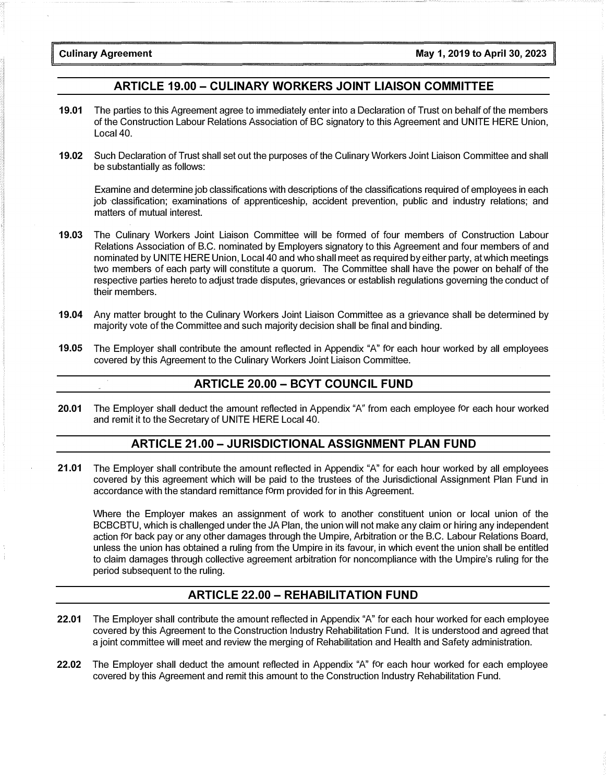### ARTICLE 19.00 - CULINARY WORKERS JOINT LIAISON COMMITTEE

- 19.01 The parties to this Agreement agree to immediately enter into a Declaration of Trust on behalf of the members of the Construction Labour Relations Association of BC signatory to this Agreement and UNITE HERE Union, Local 40.
- 19.02 Such Declaration of Trust shall set out the purposes of the Culinary Workers Joint Liaison Committee and shall be substantially as follows:

Examine and determine job classifications with descriptions of the classifications required of employees in each job classification; examinations of apprenticeship, accident prevention, public and industry relations; and matters of mutual interest.

- 19.03 The Culinary Workers Joint Liaison Committee will be formed of four members of Construction Labour Relations Association of B.C. nominated by Employers signatory to this Agreement and four members of and nominated by UNITE HERE Union, Local 40 and who shall meet as required by either party, at which meetings two members of each party will constitute a quorum. The Committee shall have the power on behalf of the respective parties hereto to adjust trade disputes, grievances or establish regulations governing the conduct of their members.
- 19.04 Any matter brought to the Culinary Workers Joint Liaison Committee as a grievance shall be determined by majority vote of the Committee and such majority decision shall be final and binding.
- 19.05 The Employer shall contribute the amount reflected in Appendix "A" for each hour worked by all employees covered by this Agreement to the Culinary Workers Joint Liaison Committee.

#### ARTICLE 20.00 - BCYT COUNCIL FUND

20.01 The Employer shall deduct the amount reflected in Appendix "A" from each employee for each hour worked and remit it to the Secretary of UNITE HERE Local 40.

#### ARTICLE 21.00 -JURISDICTIONAL ASSIGNMENT PLAN FUND

21.01 The Employer shall contribute the amount reflected in Appendix "A" for each hour worked by all employees covered by this agreement which will be paid to the trustees of the Jurisdictional Assignment Plan Fund in accordance with the standard remittance form provided for in this Agreement.

Where the Employer makes an assignment of work to another constituent union or local union of the BC BC BTU, which is challenged under the JA Plan, the union will not make any claim or hiring any independent action for back pay or any other damages through the Umpire, Arbitration or the B.C. Labour Relations Board, unless the union has obtained a ruling from the Umpire in its favour, in which event the union shall be entitled to claim damages through collective agreement arbitration for noncompliance with the Umpire's ruling for the period subsequent to the ruling.

#### ARTICLE 22.00-REHABILITATION FUND

- 22.01 The Employer shall contribute the amount reflected in Appendix "A" for each hour worked for each employee covered by this Agreement to the Construction Industry Rehabilitation Fund. It is understood and agreed that a joint committee will meet and review the merging of Rehabilitation and Health and Safety administration.
- 22.02 The Employer shall deduct the amount reflected in Appendix "A" for each hour worked for each employee covered by this Agreement and remit this amount to the Construction Industry Rehabilitation Fund.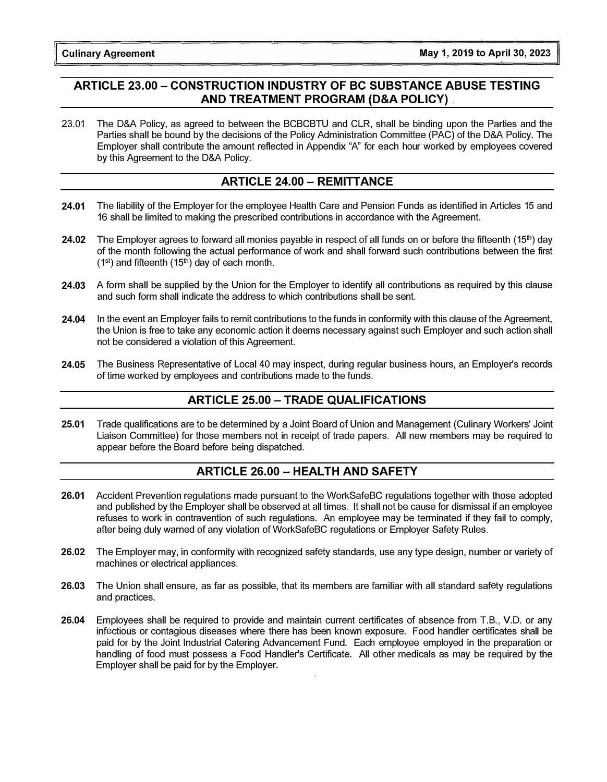### ARTICLE 23.00 - CONSTRUCTION INDUSTRY OF BC SUBSTANCE ABUSE TESTING AND TREATMENT PROGRAM (D&A POLICY) .

23.01 The D&A Policy, as agreed to between the BCBCBTU and CLR, shall be binding upon the Parties and the Parties shall be bound by the decisions of the Policy Administration Committee (PAC) of the D&A Policy. The Employer shall contribute the amount reflected in Appendix "A" for each hour worked by employees covered by this Agreement to the D&A Policy.

### ARTICLE 24.00 - REMITTANCE

- 24.01 The liability of the Employer for the employee Health Care and Pension Funds as identified in Articles 15 and 16 shall be limited to making the prescribed contributions in accordance with the Agreement.
- **24.02** The Employer agrees to forward all monies payable in respect of all funds on or before the fifteenth (15<sup>th</sup>) day of the month following the actual performance of work and shall forward such contributions between the first  $(1<sup>st</sup>)$  and fifteenth  $(15<sup>th</sup>)$  day of each month.
- 24.03 A form shall be supplied by the Union for the Employer to identify all contributions as required by this clause and such form shall indicate the address to which contributions shall be sent.
- 24.04 In the event an Employer fails to remit contributions to the funds in conformity with this clause of the Agreement, the Union is free to take any economic action it deems necessary against such Employer and such action shall not be considered a violation of this Agreement.
- 24.05 The Business Representative of Local 40 may inspect, during regular business hours, an Employer's records of time worked by employees and contributions made to the funds.

### ARTICLE 25.00 - TRADE QUALIFICATIONS

25.01 Trade qualifications are to be determined by a Joint Board of Union and Management (Culinary Workers' Joint Liaison Committee) for those members not in receipt of trade papers. All new members may be required to appear before the Board before being dispatched.

### ARTICLE 26.00 - HEALTH AND SAFETY

- 26.01 Accident Prevention regulations made pursuant to the WorkSafeBC regulations together with those adopted and published by the Employer shall be observed at all times. It shall not be cause for dismissal if an employee refuses to work in contravention of such regulations. An employee may be terminated if they fail to comply, after being duly warned of any violation of WorkSafeBC regulations or Employer Safety Rules.
- 26.02 The Employer may, in conformity with recognized safety standards, use any type design, number or variety of machines or electrical appliances.
- 26.03 The Union shall ensure, as far as possible, that its members are familiar with all standard safety regulations and practices.
- 26.04 Employees shall be required to provide and maintain current certificates of absence from T.B., V.D. or any infectious or contagious diseases where there has been known exposure. Food handler certificates shall be paid for by the Joint Industrial Catering Advancement Fund. Each employee employed in the preparation or handling of food must possess a Food Handler's Certificate. All other medicals as may be required by the Employer shall be paid for by the Employer.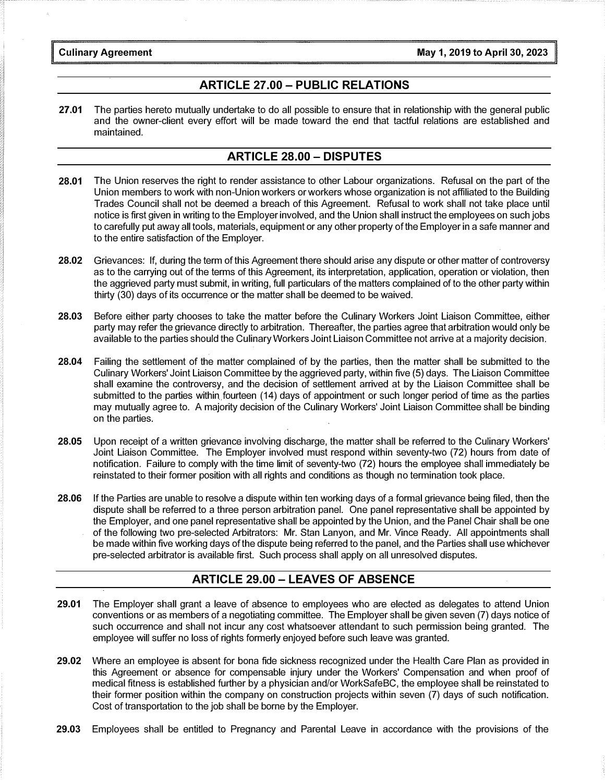#### ARTICLE 27.00- PUBLIC RELATIONS

27.01 The parties hereto mutually undertake to do all possible to ensure that in relationship with the general public and the owner-client every effort will be made toward the end that tactful relations are established and maintained.

#### ARTICLE 28.00 - DISPUTES

- 28.01 The Union reserves the right to render assistance to other Labour organizations. Refusal on the part of the Union members to work with non-Union workers or workers whose organization is not affiliated to the Building Trades Council shall not be deemed a breach of this Agreement. Refusal to work shall not take place until notice is first given in writing to the Employer involved, and the Union shall instruct the employees on such jobs to carefully put away all tools, materials, equipment or any other property of the Employer in a safe manner and to the entire satisfaction of the Employer.
- 28.02 Grievances: If, during the term of this Agreement there should arise any dispute or other matter of controversy as to the carrying out of the terms of this Agreement, its interpretation, application, operation or violation, then the aggrieved party must submit, in writing, full particulars of the matters complained of to the other party within thirty (30) days of its occurrence or the matter shall be deemed to be waived.
- 28.03 Before either party chooses to take the matter before the Culinary Workers Joint Liaison Committee, either party may refer the grievance directly to arbitration. Thereafter, the parties agree that arbitration would only be available to the parties should the Culinary Workers Joint Liaison Committee not arrive at a majority decision.
- 28.04 Failing the settlement of the matter complained of by the parties, then the matter shall be submitted to the Culinary Workers' Joint Liaison Committee by the aggrieved party, within five (5) days. The Liaison Committee shall examine the controversy, and the decision of settlement arrived at by the Liaison Committee shall be submitted to the parties within. fourteen ( 14) days of appointment or such longer period of time as the parties may mutually agree to. A majority decision of the Culinary Workers' Joint Liaison Committee shall be binding on the parties.
- 28.05 Upon receipt of a written grievance involving discharge, the matter shall be referred to the Culinary Workers' Joint Liaison Committee. The Employer involved must respond within seventy-two (72) hours from date of notification. Failure to comply with the time limit of seventy-two (72) hours the employee shall immediately be reinstated to their former position with all rights and conditions as though no termination took place.
- 28.06 If the Parties are unable to resolve a dispute within ten working days of a formal grievance being filed, then the dispute shall be referred to a three person arbitration panel. One panel representative shall be appointed by the Employer, and one panel representative shall be appointed by the Union, and the Panel Chair shall be one of the following two pre-selected Arbitrators: Mr. Stan Lanyon, and Mr. Vince Ready. All appointments shall be made within five working days of the dispute being referred to the panel, and the Parties shall use whichever pre-selected arbitrator is available first. Such process shall apply on all unresolved disputes.

#### ARTICLE 29.00 - LEAVES OF ABSENCE

- 29.01 The Employer shall grant a leave of absence to employees who are elected as delegates to attend Union conventions or as members of a negotiating committee. The Employer shall be given seven (7) days notice of such occurrence and shall not incur any cost whatsoever attendant to such permission being granted. The employee will suffer no loss of rights formerly enjoyed before such leave was granted.
- 29.02 Where an employee is absent for bona fide sickness recognized under the Health Care Plan as provided in this Agreement or absence for compensable injury under the Workers' Compensation and when proof of medical fitness is established further by a physician and/or WorkSafeBC, the employee shall be reinstated to their former position within the company on construction projects within seven (7) days of such notification. Cost of transportation to the job shall be borne by the Employer.
- 29.03 Employees shall be entitled to Pregnancy and Parental Leave in accordance with the provisions of the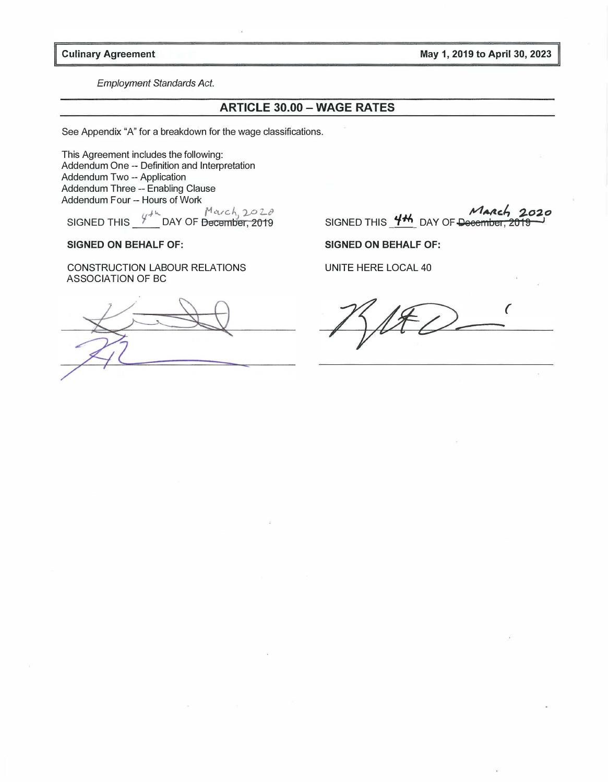Culinary Agreement May 1, 2019 to April 30, 2023

Employment Standards Act.

#### ARTICLE 30.00 - WAGE RATES

See Appendix "A" for a breakdown for the wage classifications.

This Agreement includes the following: Addendum One -- Definition and Interpretation Addendum Two -- Application Addendum Three -- Enabling Clause Addendum Four -- Hours of Work<br>  $u^4$ <sup>k</sup>  $u^4$  and  $v^4$   $u^4$  and  $v^2$   $u^2$   $v^2$ 

 $\mathcal{L}$ .<br>SIGNED THIS  $\frac{y + k}{\sqrt{N}}$  DAY OF Becember, 2019

#### SIGNED ON BEHALF OF:

CONSTRUCTION LABOUR RELATIONS ASSOCIATION OF BC

March 2020 SIGNED THIS  $4<sup>4</sup>$  DAY OF December

SIGNED ON BEHALF OF:

UNITE HERE LOCAL 40

( -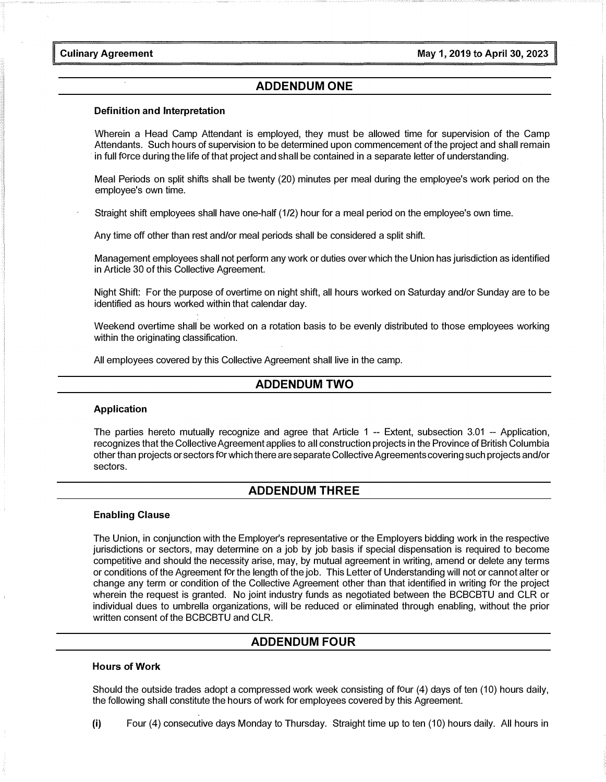Culinary Agreement

#### ADDENDUM ONE

#### Definition and Interpretation

Wherein a Head Camp Attendant is employed, they must be allowed time for supervision of the Camp Attendants. Such hours of supervision to be determined upon commencement of the project and shall remain in full force during the life of that project and shall be contained in a separate letter of understanding.

Meal Periods on split shifts shall be twenty (20) minutes per meal during the employee's work period on the employee's own time.

Straight shift employees shall have one-half (1/2) hour for a meal period on the employee's own time.

Any time off other than rest and/or meal periods shall be considered a split shift.

Management employees shall not perform any work or duties over which the Union has jurisdiction as identified in Article 30 of this Collective Agreement.

Night Shift: For the purpose of overtime on night shift, all hours worked on Saturday and/or Sunday are to be identified as hours worked within that calendar day.

Weekend overtime shall be worked on a rotation basis to be evenly distributed to those employees working within the originating classification.

All employees covered by this Collective Agreement shall live in the camp.

#### ADDENDUM TWO

#### Application

The parties hereto mutually recognize and agree that Article 1 -- Extent, subsection 3.01 -- Application, recognizes that the Collective Agreement applies to all construction projects in the Province of British Columbia other than projects or sectors for which there are separate Collective Agreements covering such projects and/or sectors.

#### ADDENDUM THREE

#### Enabling Clause

The Union, in conjunction with the Employer's representative or the Employers bidding work in the respective jurisdictions or sectors, may determine on a job by job basis if special dispensation is required to become competitive and should the necessity arise, may, by mutual agreement in writing, amend or delete any terms or conditions of the Agreement for the length of the job. This Letter of Understanding will not or cannot alter or change any term or condition of the Collective Agreement other than that identified in writing for the project wherein the request is granted. No joint industry funds as negotiated between the BCBCBTU and CLR or individual dues to umbrella organizations, will be reduced or eliminated through enabling, without the prior written consent of the BCBCBTU and CLR.

#### ADDENDUM FOUR

#### Hours of Work

Should the outside trades adopt a compressed work week consisting of four (4) days of ten (10) hours daily, the following shall constitute the hours of work for employees covered by this Agreement.

(i) Four (4) consecutive days Monday to Thursday. Straight time up to ten (10) hours daily. All hours in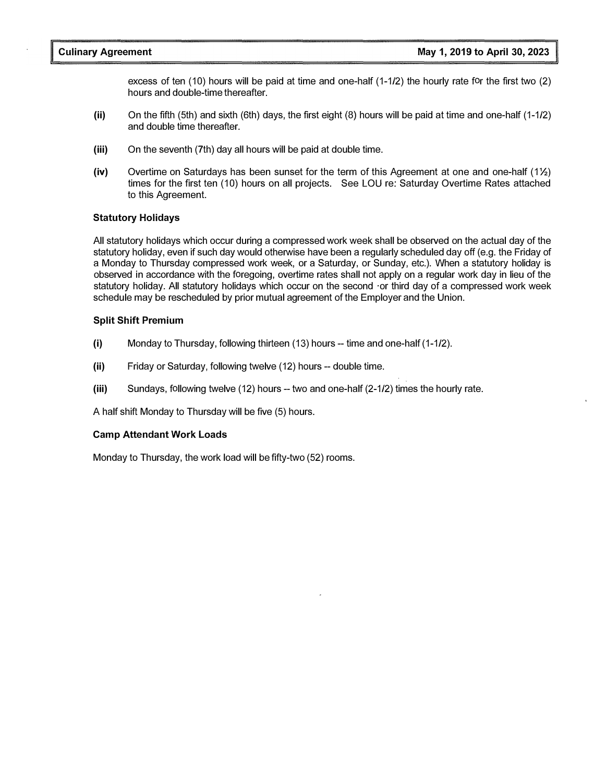excess of ten (10) hours will be paid at time and one-half (1-1/2) the hourly rate for the first two (2) hours and double-time thereafter.

- (ii) On the fifth (5th) and sixth (6th) days, the first eight (8) hours will be paid at time and one-half (1-1/2) and double time thereafter.
- (iii) On the seventh (7th) day all hours will be paid at double time.
- $(iv)$  Overtime on Saturdays has been sunset for the term of this Agreement at one and one-half  $(1\frac{1}{2})$ times for the first ten (10) hours on all projects. See LOU re: Saturday Overtime Rates attached to this Agreement.

#### Statutory Holidays

All statutory holidays which occur during a compressed work week shall be observed on the actual day of the statutory holiday, even if such day would otherwise have been a regularly scheduled day off (e.g. the Friday of a Monday to Thursday compressed work week, or a Saturday, or Sunday, etc.). When a statutory holiday is observed in accordance with the foregoing, overtime rates shall not apply on a regular work day in lieu of the statutory holiday. All statutory holidays which occur on the second ·or third day of a compressed work week schedule may be rescheduled by prior mutual agreement of the Employer and the Union.

#### Split Shift Premium

- (i) Monday to Thursday, following thirteen (13) hours -- time and one-half (1-1/2).
- (ii) Friday or Saturday, following twelve (12) hours -- double time.
- (iii) Sundays, following twelve (12) hours -- two and one-half (2-1/2) times the hourly rate.

A half shift Monday to Thursday will be five (5) hours.

#### Camp Attendant Work Loads

Monday to Thursday, the work load will be fifty-two (52) rooms.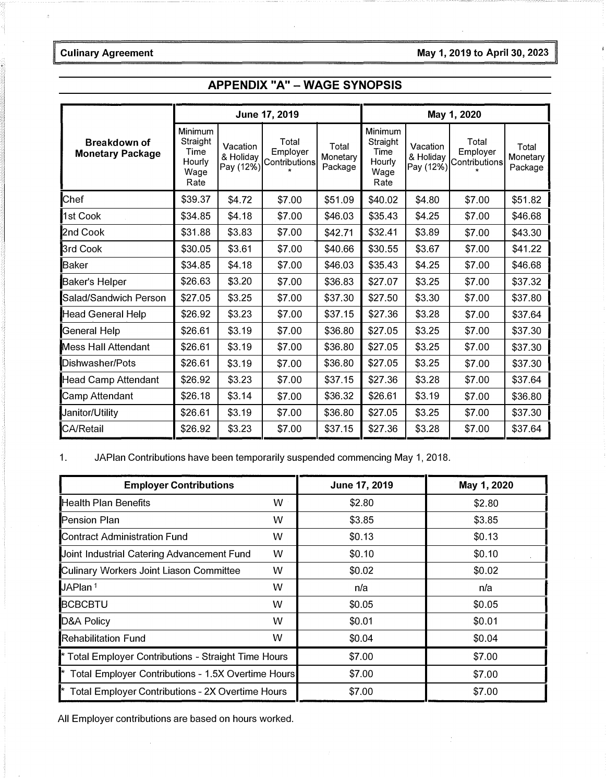### Culinary Agreement **May 1, 2019 to April 30, 202**3

|                                                |                                                       |                                    | June 17, 2019                      |                              | May 1, 2020                                           |                                    |                                    |                              |
|------------------------------------------------|-------------------------------------------------------|------------------------------------|------------------------------------|------------------------------|-------------------------------------------------------|------------------------------------|------------------------------------|------------------------------|
| <b>Breakdown of</b><br><b>Monetary Package</b> | Minimum<br>Straight<br>Time<br>Hourly<br>Wage<br>Rate | Vacation<br>& Holiday<br>Pay (12%) | Total<br>Employer<br>Contributions | Total<br>Monetary<br>Package | Minimum<br>Straight<br>Time<br>Hourly<br>Wage<br>Rate | Vacation<br>& Holiday<br>Pay (12%) | Total<br>Employer<br>Contributions | Total<br>Monetary<br>Package |
| Chef                                           | \$39.37                                               | \$4.72                             | \$7.00                             | \$51.09                      | \$40.02                                               | \$4.80                             | \$7.00                             | \$51.82                      |
| 1st Cook                                       | \$34.85                                               | \$4.18                             | \$7.00                             | \$46.03                      | \$35.43                                               | \$4.25                             | \$7.00                             | \$46.68                      |
| 2nd Cook                                       | \$31.88                                               | \$3.83                             | \$7.00                             | \$42.71                      | \$32.41                                               | \$3.89                             | \$7.00                             | \$43.30                      |
| 3rd Cook                                       | \$30.05                                               | \$3.61                             | \$7.00                             | \$40.66                      | \$30.55                                               | \$3.67                             | \$7.00                             | \$41.22                      |
| <b>Baker</b>                                   | \$34.85                                               | \$4.18                             | \$7.00                             | \$46.03                      | \$35.43                                               | \$4.25                             | \$7.00                             | \$46.68                      |
| <b>Baker's Helper</b>                          | \$26.63                                               | \$3.20                             | \$7.00                             | \$36.83                      | \$27.07                                               | \$3.25                             | \$7.00                             | \$37.32                      |
| Salad/Sandwich Person                          | \$27.05                                               | \$3.25                             | \$7.00                             | \$37.30                      | \$27.50                                               | \$3.30                             | \$7.00                             | \$37.80                      |
| <b>Head General Help</b>                       | \$26.92                                               | \$3.23                             | \$7.00                             | \$37.15                      | \$27.36                                               | \$3.28                             | \$7.00                             | \$37.64                      |
| General Help                                   | \$26.61                                               | \$3.19                             | \$7.00                             | \$36.80                      | \$27.05                                               | \$3.25                             | \$7.00                             | \$37.30                      |
| Mess Hall Attendant                            | \$26.61                                               | \$3.19                             | \$7.00                             | \$36.80                      | \$27.05                                               | \$3.25                             | \$7.00                             | \$37.30                      |
| Dishwasher/Pots                                | \$26.61                                               | \$3.19                             | \$7.00                             | \$36.80                      | \$27.05                                               | \$3.25                             | \$7.00                             | \$37.30                      |
| <b>Head Camp Attendant</b>                     | \$26.92                                               | \$3.23                             | \$7.00                             | \$37.15                      | \$27.36                                               | \$3.28                             | \$7.00                             | \$37.64                      |
| Camp Attendant                                 | \$26.18                                               | \$3.14                             | \$7.00                             | \$36.32                      | \$26.61                                               | \$3.19                             | \$7.00                             | \$36.80                      |
| Janitor/Utility                                | \$26.61                                               | \$3.19                             | \$7.00                             | \$36.80                      | \$27.05                                               | \$3.25                             | \$7.00                             | \$37.30                      |
| <b>CA/Retail</b>                               | \$26.92                                               | \$3.23                             | \$7.00                             | \$37.15                      | \$27.36                                               | \$3.28                             | \$7.00                             | \$37.64                      |

### APPENDIX "A" - WAGE SYNOPSIS

1. JAPlan Contributions have been temporarily suspended commencing May 1, 2018.

| <b>Employer Contributions</b>                        |   | June 17, 2019 | May 1, 2020 |
|------------------------------------------------------|---|---------------|-------------|
| <b>Health Plan Benefits</b>                          | W | \$2.80        | \$2.80      |
| <b>Pension Plan</b>                                  | w | \$3.85        | \$3.85      |
| <b>Contract Administration Fund</b>                  | W | \$0.13        | \$0.13      |
| Joint Industrial Catering Advancement Fund           | w | \$0.10        | \$0.10      |
| Culinary Workers Joint Liason Committee              | w | \$0.02        | \$0.02      |
| JAPlan <sup>1</sup>                                  | w | n/a           | n/a         |
| <b>BCBCBTU</b>                                       | w | \$0.05        | \$0.05      |
| <b>D&amp;A Policy</b>                                | W | \$0.01        | \$0.01      |
| <b>Rehabilitation Fund</b>                           | w | \$0.04        | \$0.04      |
| * Total Employer Contributions - Straight Time Hours |   | \$7.00        | \$7.00      |
| * Total Employer Contributions - 1.5X Overtime Hours |   | \$7.00        | \$7.00      |
| * Total Employer Contributions - 2X Overtime Hours   |   | \$7.00        | \$7.00      |

All Employer contributions are based on hours worked.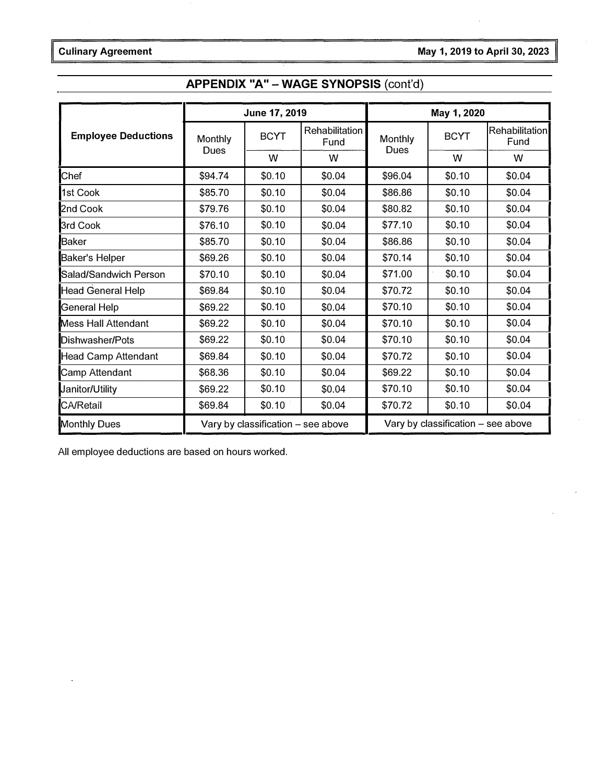## APPENDIX "A" - WAGE SYNOPSIS (cont'd)

|                            |                        | June 17, 2019                      |                        | May 1, 2020     |                                    |                        |  |
|----------------------------|------------------------|------------------------------------|------------------------|-----------------|------------------------------------|------------------------|--|
| <b>Employee Deductions</b> | Monthly<br><b>Dues</b> | <b>BCYT</b>                        | Rehabilitation<br>Fund | Monthly<br>Dues | <b>BCYT</b>                        | Rehabilitation<br>Fund |  |
|                            |                        | W                                  | w                      |                 | w                                  | w                      |  |
| Chef                       | \$94.74                | \$0.10                             | \$0.04                 | \$96.04         | \$0.10                             | \$0.04                 |  |
| 1st Cook                   | \$85.70                | \$0.10                             | \$0.04                 | \$86.86         | \$0.10                             | \$0.04                 |  |
| 2nd Cook                   | \$79.76                | \$0.10                             | \$0.04                 | \$80.82         | \$0.10                             | \$0.04                 |  |
| 3rd Cook                   | \$76.10                | \$0.10                             | \$0.04                 | \$77.10         | \$0.10                             | \$0.04                 |  |
| Baker                      | \$85.70                | \$0.10                             | \$0.04                 | \$86.86         | \$0.10                             | \$0.04                 |  |
| Baker's Helper             | \$69.26                | \$0.10                             | \$0.04                 | \$70.14         | \$0.10                             | \$0.04                 |  |
| Salad/Sandwich Person      | \$70.10                | \$0.10                             | \$0.04                 | \$71.00         | \$0.10                             | \$0.04                 |  |
| <b>Head General Help</b>   | \$69.84                | \$0.10                             | \$0.04                 | \$70.72         | \$0.10                             | \$0.04                 |  |
| General Help               | \$69.22                | \$0.10                             | \$0.04                 | \$70.10         | \$0.10                             | \$0.04                 |  |
| <b>Mess Hall Attendant</b> | \$69.22                | \$0.10                             | \$0.04                 | \$70.10         | \$0.10                             | \$0.04                 |  |
| Dishwasher/Pots            | \$69.22                | \$0.10                             | \$0.04                 | \$70.10         | \$0.10                             | \$0.04                 |  |
| <b>Head Camp Attendant</b> | \$69.84                | \$0.10                             | \$0.04                 | \$70.72         | \$0.10                             | \$0.04                 |  |
| Camp Attendant             | \$68.36                | \$0.10                             | \$0.04                 | \$69.22         | \$0.10                             | \$0.04                 |  |
| Janitor/Utility            | \$69.22                | \$0.10                             | \$0.04                 | \$70.10         | \$0.10                             | \$0.04                 |  |
| <b>CA/Retail</b>           | \$69.84                | \$0.10                             | \$0.04                 | \$70.72         | \$0.10                             | \$0.04                 |  |
| <b>Monthly Dues</b>        |                        | Vary by classification - see above |                        |                 | Vary by classification - see above |                        |  |

All employee deductions are based on hours worked.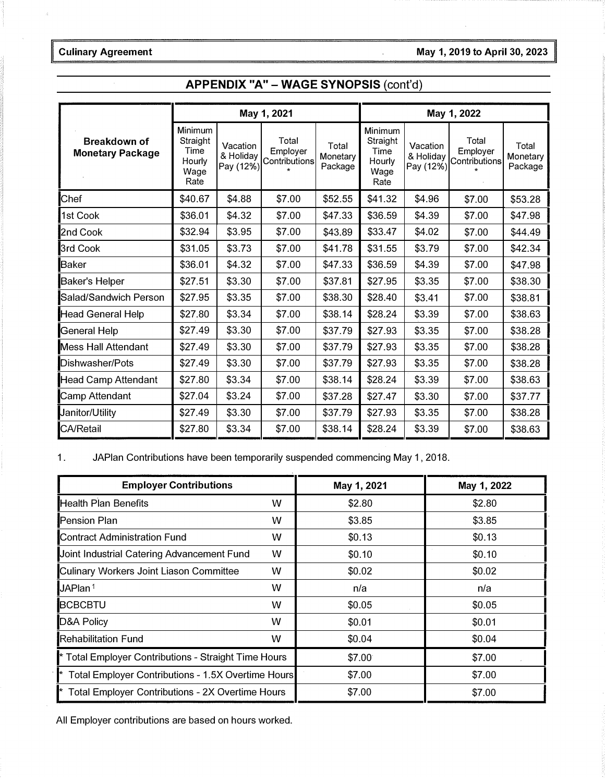#### Culinary Agreement **May 1, 2019** to April 30, 2023

### APPENDIX "A" - WAGE SYNOPSIS (cont'd)

|                                                |                                                       | May 1, 2021                        |                                    |                              | May 1, 2022                                           |                                    |                                    |                              |
|------------------------------------------------|-------------------------------------------------------|------------------------------------|------------------------------------|------------------------------|-------------------------------------------------------|------------------------------------|------------------------------------|------------------------------|
| <b>Breakdown of</b><br><b>Monetary Package</b> | Minimum<br>Straight<br>Time<br>Hourly<br>Wage<br>Rate | Vacation<br>& Holiday<br>Pay (12%) | Total<br>Employer<br>Contributions | Total<br>Monetary<br>Package | Minimum<br>Straight<br>Time<br>Hourly<br>Wage<br>Rate | Vacation<br>& Holiday<br>Pay (12%) | Total<br>Employer<br>Contributions | Total<br>Monetary<br>Package |
| Chef                                           | \$40.67                                               | \$4.88                             | \$7.00                             | \$52.55                      | \$41.32                                               | \$4.96                             | \$7.00                             | \$53.28                      |
| 1st Cook                                       | \$36.01                                               | \$4.32                             | \$7.00                             | \$47.33                      | \$36.59                                               | \$4.39                             | \$7.00                             | \$47.98                      |
| 2nd Cook                                       | \$32.94                                               | \$3.95                             | \$7.00                             | \$43.89                      | \$33.47                                               | \$4.02                             | \$7.00                             | \$44.49                      |
| 3rd Cook                                       | \$31.05                                               | \$3.73                             | \$7.00                             | \$41.78                      | \$31.55                                               | \$3.79                             | \$7.00                             | \$42.34                      |
| <b>Baker</b>                                   | \$36.01                                               | \$4.32                             | \$7.00                             | \$47.33                      | \$36.59                                               | \$4.39                             | \$7.00                             | \$47.98                      |
| Baker's Helper                                 | \$27.51                                               | \$3.30                             | \$7.00                             | \$37.81                      | \$27.95                                               | \$3.35                             | \$7.00                             | \$38.30                      |
| Salad/Sandwich Person                          | \$27.95                                               | \$3.35                             | \$7.00                             | \$38.30                      | \$28.40                                               | \$3.41                             | \$7.00                             | \$38.81                      |
| Head General Help                              | \$27.80                                               | \$3.34                             | \$7.00                             | \$38.14                      | \$28.24                                               | \$3.39                             | \$7.00                             | \$38.63                      |
| General Help                                   | \$27.49                                               | \$3.30                             | \$7.00                             | \$37.79                      | \$27.93                                               | \$3.35                             | \$7.00                             | \$38.28                      |
| <b>Mess Hall Attendant</b>                     | \$27.49                                               | \$3.30                             | \$7.00                             | \$37.79                      | \$27.93                                               | \$3.35                             | \$7.00                             | \$38.28                      |
| Dishwasher/Pots                                | \$27.49                                               | \$3.30                             | \$7.00                             | \$37.79                      | \$27.93                                               | \$3.35                             | \$7.00                             | \$38.28                      |
| <b>Head Camp Attendant</b>                     | \$27.80                                               | \$3.34                             | \$7.00                             | \$38.14                      | \$28.24                                               | \$3.39                             | \$7.00                             | \$38.63                      |
| <b>Camp Attendant</b>                          | \$27.04                                               | \$3.24                             | \$7.00                             | \$37.28                      | \$27.47                                               | \$3.30                             | \$7.00                             | \$37.77                      |
| Janitor/Utility                                | \$27.49                                               | \$3.30                             | \$7.00                             | \$37.79                      | \$27.93                                               | \$3.35                             | \$7.00                             | \$38.28                      |
| CA/Retail                                      | \$27.80                                               | \$3.34                             | \$7.00                             | \$38.14                      | \$28.24                                               | \$3.39                             | \$7.00                             | \$38.63                      |

1. JAPlan Contributions have been temporarily suspended commencing May 1, 2018.

| <b>Employer Contributions</b>                                 |   | May 1, 2021 | May 1, 2022 |
|---------------------------------------------------------------|---|-------------|-------------|
| <b>Health Plan Benefits</b>                                   | w | \$2.80      | \$2.80      |
| <b>Pension Plan</b>                                           | w | \$3.85      | \$3.85      |
| <b>Contract Administration Fund</b>                           | w | \$0.13      | \$0.13      |
| Joint Industrial Catering Advancement Fund                    | W | \$0.10      | \$0.10      |
| Culinary Workers Joint Liason Committee                       | w | \$0.02      | \$0.02      |
| JAPlan <sup>1</sup>                                           | w | n/a         | n/a         |
| <b>BCBCBTU</b>                                                | w | \$0.05      | \$0.05      |
| D&A Policy                                                    | w | \$0.01      | \$0.01      |
| <b>Rehabilitation Fund</b>                                    | w | \$0.04      | \$0.04      |
| * Total Employer Contributions - Straight Time Hours          |   | \$7.00      | \$7.00      |
| * Total Employer Contributions - 1.5X Overtime Hours          |   | \$7.00      | \$7.00      |
| <sup>*</sup> Total Employer Contributions - 2X Overtime Hours |   | \$7.00      | \$7.00      |

All Employer contributions are based on hours worked.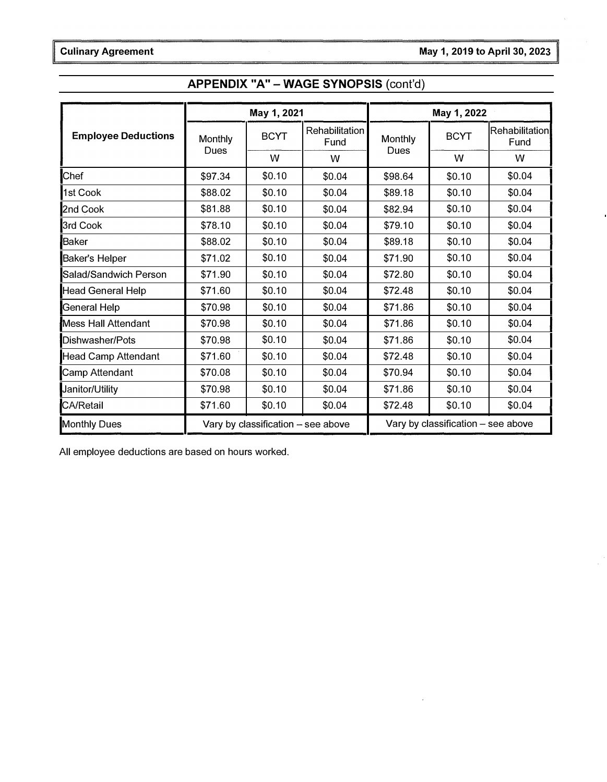## APPENDIX "A" - WAGE SYNOPSIS (cont'd)

|                            |                                    | May 1, 2021 |                        | May 1, 2022 |                                    |                        |  |
|----------------------------|------------------------------------|-------------|------------------------|-------------|------------------------------------|------------------------|--|
| <b>Employee Deductions</b> | Monthly                            | <b>BCYT</b> | Rehabilitation<br>Fund | Monthly     | <b>BCYT</b>                        | Rehabilitation<br>Fund |  |
|                            | Dues                               | W           | W                      | Dues        | W                                  | W                      |  |
| Chef                       | \$97.34                            | \$0.10      | \$0.04                 | \$98.64     | \$0.10                             | \$0.04                 |  |
| 1st Cook                   | \$88.02                            | \$0.10      | \$0.04                 | \$89.18     | \$0.10                             | \$0.04                 |  |
| 2nd Cook                   | \$81.88                            | \$0.10      | \$0.04                 | \$82.94     | \$0.10                             | \$0.04                 |  |
| 3rd Cook                   | \$78.10                            | \$0.10      | \$0.04                 | \$79.10     | \$0.10                             | \$0.04                 |  |
| Baker                      | \$88.02                            | \$0.10      | \$0.04                 | \$89.18     | \$0.10                             | \$0.04                 |  |
| Baker's Helper             | \$71.02                            | \$0.10      | \$0.04                 | \$71.90     | \$0.10                             | \$0.04                 |  |
| Salad/Sandwich Person      | \$71.90                            | \$0.10      | \$0.04                 | \$72.80     | \$0.10                             | \$0.04                 |  |
| <b>Head General Help</b>   | \$71.60                            | \$0.10      | \$0.04                 | \$72.48     | \$0.10                             | \$0.04                 |  |
| General Help               | \$70.98                            | \$0.10      | \$0.04                 | \$71.86     | \$0.10                             | \$0.04                 |  |
| <b>Mess Hall Attendant</b> | \$70.98                            | \$0.10      | \$0.04                 | \$71.86     | \$0.10                             | \$0.04                 |  |
| Dishwasher/Pots            | \$70.98                            | \$0.10      | \$0.04                 | \$71.86     | \$0.10                             | \$0.04                 |  |
| <b>Head Camp Attendant</b> | \$71.60                            | \$0.10      | \$0.04                 | \$72.48     | \$0.10                             | \$0.04                 |  |
| Camp Attendant             | \$70.08                            | \$0.10      | \$0.04                 | \$70.94     | \$0.10                             | \$0.04                 |  |
| Janitor/Utility            | \$70.98                            | \$0.10      | \$0.04                 | \$71.86     | \$0.10                             | \$0.04                 |  |
| <b>CA/Retail</b>           | \$71.60                            | \$0.10      | \$0.04                 | \$72.48     | \$0.10                             | \$0.04                 |  |
| <b>Monthly Dues</b>        | Vary by classification - see above |             |                        |             | Vary by classification - see above |                        |  |

All employee deductions are based on hours worked.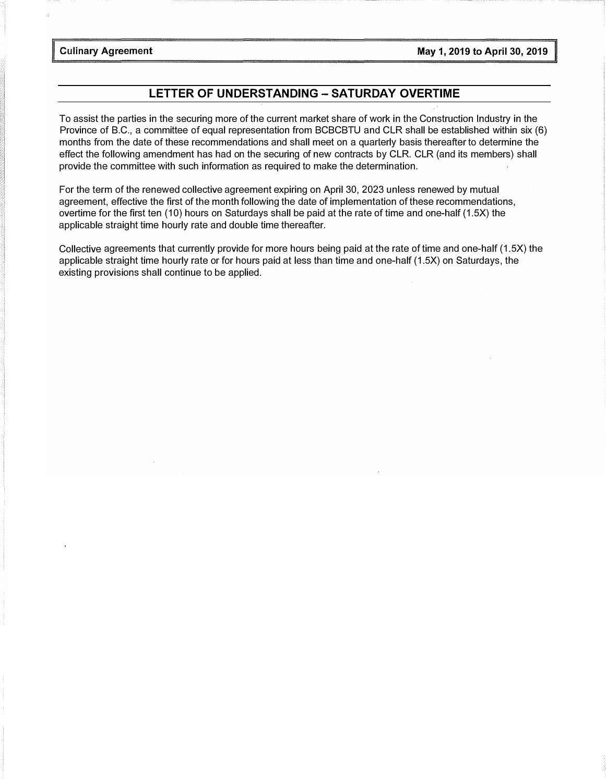### LETTER OF UNDERSTANDING - SATURDAY OVERTIME

To assist the parties in the securing more of the current market share of work in the Construction Industry in the Province of B.C., a committee of equal representation from BCBCBTU and CLR shall be established within six (6) months from the date of these recommendations and shall meet on a quarterly basis thereafter to determine the effect the following amendment has had on the securing of new contracts by CLR. CLR (and its members) shall provide the committee with such information as required to make the determination.

For the term of the renewed collective agreement expiring on April 30, 2023 unless renewed by mutual agreement, effective the first of the month following the date of implementation of these recommendations, overtime for the first ten (10) hours on Saturdays shall be paid at the rate of time and one-half (1.5X) the applicable straight time hourly rate and double time thereafter.

Collective agreements that currently provide for more hours being paid at the rate of time and one-half (1.5X) the applicable straight time hourly rate or for hours paid at less than time and one-half (1.5X) on Saturdays, the existing provisions shall continue to be applied.